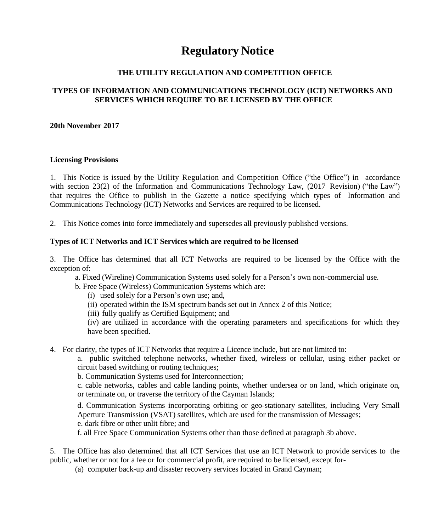## **THE UTILITY REGULATION AND COMPETITION OFFICE**

### **TYPES OF INFORMATION AND COMMUNICATIONS TECHNOLOGY (ICT) NETWORKS AND SERVICES WHICH REQUIRE TO BE LICENSED BY THE OFFICE**

#### **20th November 2017**

#### **Licensing Provisions**

1. This Notice is issued by the Utility Regulation and Competition Office ("the Office") in accordance with section 23(2) of the Information and Communications Technology Law, (2017 Revision) ("the Law") that requires the Office to publish in the Gazette a notice specifying which types of Information and Communications Technology (ICT) Networks and Services are required to be licensed.

2. This Notice comes into force immediately and supersedes all previously published versions.

#### **Types of ICT Networks and ICT Services which are required to be licensed**

3. The Office has determined that all ICT Networks are required to be licensed by the Office with the exception of:

a. Fixed (Wireline) Communication Systems used solely for a Person's own non-commercial use.

b. Free Space (Wireless) Communication Systems which are:

(i) used solely for a Person's own use; and,

(ii) operated within the ISM spectrum bands set out in Annex 2 of this Notice;

(iii) fully qualify as Certified Equipment; and

(iv) are utilized in accordance with the operating parameters and specifications for which they have been specified.

4. For clarity, the types of ICT Networks that require a Licence include, but are not limited to:

a. public switched telephone networks, whether fixed, wireless or cellular, using either packet or circuit based switching or routing techniques;

b. Communication Systems used for Interconnection;

c. cable networks, cables and cable landing points, whether undersea or on land, which originate on, or terminate on, or traverse the territory of the Cayman Islands;

d. Communication Systems incorporating orbiting or geo-stationary satellites, including Very Small Aperture Transmission (VSAT) satellites, which are used for the transmission of Messages; e. dark fibre or other unlit fibre; and

f. all Free Space Communication Systems other than those defined at paragraph 3b above.

5. The Office has also determined that all ICT Services that use an ICT Network to provide services to the public, whether or not for a fee or for commercial profit, are required to be licensed, except for-

(a) computer back-up and disaster recovery services located in Grand Cayman;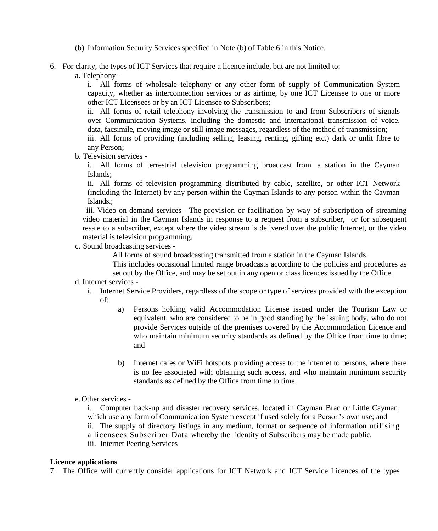- (b) Information Security Services specified in Note (b) of Table 6 in this Notice.
- 6. For clarity, the types of ICT Services that require a licence include, but are not limited to:
	- a. Telephony -

i. All forms of wholesale telephony or any other form of supply of Communication System capacity, whether as interconnection services or as airtime, by one ICT Licensee to one or more other ICT Licensees or by an ICT Licensee to Subscribers;

ii. All forms of retail telephony involving the transmission to and from Subscribers of signals over Communication Systems, including the domestic and international transmission of voice, data, facsimile, moving image or still image messages, regardless of the method of transmission;

iii. All forms of providing (including selling, leasing, renting, gifting etc.) dark or unlit fibre to any Person;

b. Television services -

i. All forms of terrestrial television programming broadcast from a station in the Cayman Islands;

ii. All forms of television programming distributed by cable, satellite, or other ICT Network (including the Internet) by any person within the Cayman Islands to any person within the Cayman Islands.;

 iii. Video on demand services - The provision or facilitation by way of subscription of streaming video material in the Cayman Islands in response to a request from a subscriber, or for subsequent resale to a subscriber, except where the video stream is delivered over the public Internet, or the video material is television programming.

c. Sound broadcasting services -

All forms of sound broadcasting transmitted from a station in the Cayman Islands.

This includes occasional limited range broadcasts according to the policies and procedures as set out by the Office, and may be set out in any open or class licences issued by the Office.

- d. Internet services
	- i. Internet Service Providers, regardless of the scope or type of services provided with the exception of:
		- a) Persons holding valid Accommodation License issued under the Tourism Law or equivalent, who are considered to be in good standing by the issuing body, who do not provide Services outside of the premises covered by the Accommodation Licence and who maintain minimum security standards as defined by the Office from time to time; and
		- b) Internet cafes or WiFi hotspots providing access to the internet to persons, where there is no fee associated with obtaining such access, and who maintain minimum security standards as defined by the Office from time to time.
- e.Other services -

i. Computer back-up and disaster recovery services, located in Cayman Brac or Little Cayman, which use any form of Communication System except if used solely for a Person's own use; and ii. The supply of directory listings in any medium, format or sequence of information utilising a licensees Subscriber Data whereby the identity of Subscribers may be made public. iii. Internet Peering Services

#### **Licence applications**

7. The Office will currently consider applications for ICT Network and ICT Service Licences of the types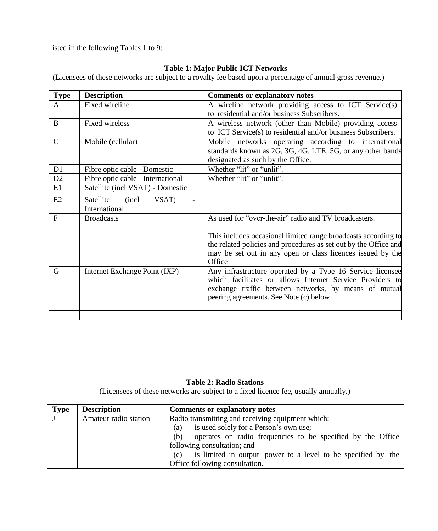listed in the following Tables 1 to 9:

# **Table 1: Major Public ICT Networks**

(Licensees of these networks are subject to a royalty fee based upon a percentage of annual gross revenue.)

| <b>Type</b>   | <b>Description</b>                | <b>Comments or explanatory notes</b>                                                                 |
|---------------|-----------------------------------|------------------------------------------------------------------------------------------------------|
| $\mathsf{A}$  | Fixed wireline                    | A wireline network providing access to ICT Service(s)<br>to residential and/or business Subscribers. |
|               |                                   |                                                                                                      |
| B             | Fixed wireless                    | A wireless network (other than Mobile) providing access                                              |
|               |                                   | to ICT Service(s) to residential and/or business Subscribers.                                        |
| $\mathcal{C}$ | Mobile (cellular)                 | Mobile networks operating according to international                                                 |
|               |                                   | standards known as 2G, 3G, 4G, LTE, 5G, or any other bands                                           |
|               |                                   | designated as such by the Office.                                                                    |
| D1            | Fibre optic cable - Domestic      | Whether "lit" or "unlit".                                                                            |
| D2            | Fibre optic cable - International | Whether "lit" or "unlit".                                                                            |
| E1            | Satellite (incl VSAT) - Domestic  |                                                                                                      |
| E2            | Satellite<br>(incl)<br>VSAT)      |                                                                                                      |
|               | International                     |                                                                                                      |
| F             | <b>Broadcasts</b>                 | As used for "over-the-air" radio and TV broadcasters.                                                |
|               |                                   | This includes occasional limited range broadcasts according to                                       |
|               |                                   | the related policies and procedures as set out by the Office and                                     |
|               |                                   | may be set out in any open or class licences issued by the                                           |
|               |                                   | Office                                                                                               |
| G             | Internet Exchange Point (IXP)     | Any infrastructure operated by a Type 16 Service licensee                                            |
|               |                                   | which facilitates or allows Internet Service Providers to                                            |
|               |                                   | exchange traffic between networks, by means of mutual                                                |
|               |                                   | peering agreements. See Note (c) below                                                               |
|               |                                   |                                                                                                      |
|               |                                   |                                                                                                      |

## **Table 2: Radio Stations**

(Licensees of these networks are subject to a fixed licence fee, usually annually.)

| <b>Type</b> | <b>Description</b>    | <b>Comments or explanatory notes</b>                                |
|-------------|-----------------------|---------------------------------------------------------------------|
|             | Amateur radio station | Radio transmitting and receiving equipment which;                   |
|             |                       | is used solely for a Person's own use;<br>(a)                       |
|             |                       | operates on radio frequencies to be specified by the Office<br>(b)  |
|             |                       | following consultation; and                                         |
|             |                       | is limited in output power to a level to be specified by the<br>(c) |
|             |                       | Office following consultation.                                      |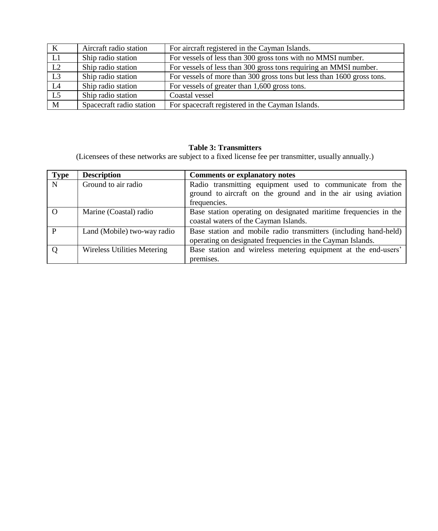| K               | Aircraft radio station   | For aircraft registered in the Cayman Islands.                         |
|-----------------|--------------------------|------------------------------------------------------------------------|
| L1              | Ship radio station       | For vessels of less than 300 gross tons with no MMSI number.           |
| L2              | Ship radio station       | For vessels of less than 300 gross tons requiring an MMSI number.      |
| $\overline{L3}$ | Ship radio station       | For vessels of more than 300 gross tons but less than 1600 gross tons. |
| L4              | Ship radio station       | For vessels of greater than 1,600 gross tons.                          |
| L5              | Ship radio station       | Coastal vessel                                                         |
| M               | Spacecraft radio station | For spacecraft registered in the Cayman Islands.                       |

# **Table 3: Transmitters**

(Licensees of these networks are subject to a fixed license fee per transmitter, usually annually.)

| <b>Type</b> | <b>Description</b>          | <b>Comments or explanatory notes</b>                                                                                                        |
|-------------|-----------------------------|---------------------------------------------------------------------------------------------------------------------------------------------|
| N           | Ground to air radio         | Radio transmitting equipment used to communicate from the<br>ground to aircraft on the ground and in the air using aviation<br>frequencies. |
| $\Omega$    | Marine (Coastal) radio      | Base station operating on designated maritime frequencies in the<br>coastal waters of the Cayman Islands.                                   |
| P           | Land (Mobile) two-way radio | Base station and mobile radio transmitters (including hand-held)<br>operating on designated frequencies in the Cayman Islands.              |
|             | Wireless Utilities Metering | Base station and wireless metering equipment at the end-users'<br>premises.                                                                 |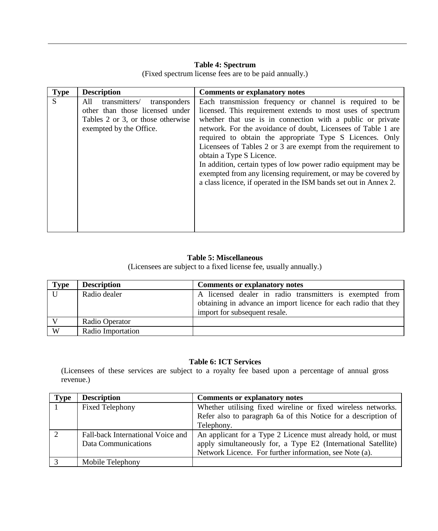#### **Table 4: Spectrum**

**Type Description Comments or explanatory notes** S All transmitters/ transponders other than those licensed under Tables 2 or 3, or those otherwise exempted by the Office. Each transmission frequency or channel is required to be licensed. This requirement extends to most uses of spectrum whether that use is in connection with a public or private network. For the avoidance of doubt, Licensees of Table 1 are required to obtain the appropriate Type S Licences. Only Licensees of Tables 2 or 3 are exempt from the requirement to obtain a Type S Licence. In addition, certain types of low power radio equipment may be exempted from any licensing requirement, or may be covered by a class licence, if operated in the ISM bands set out in Annex 2.

(Fixed spectrum license fees are to be paid annually.)

#### **Table 5: Miscellaneous**

(Licensees are subject to a fixed license fee, usually annually.)

| <b>Type</b>  | <b>Description</b> | Comments or explanatory notes                                   |
|--------------|--------------------|-----------------------------------------------------------------|
| $\mathbf{U}$ | Radio dealer       | A licensed dealer in radio transmitters is exempted from        |
|              |                    | obtaining in advance an import licence for each radio that they |
|              |                    | import for subsequent resale.                                   |
|              | Radio Operator     |                                                                 |
| W            | Radio Importation  |                                                                 |

#### **Table 6: ICT Services**

(Licensees of these services are subject to a royalty fee based upon a percentage of annual gross revenue.)

| <b>Type</b> | <b>Description</b>                | <b>Comments or explanatory notes</b>                           |
|-------------|-----------------------------------|----------------------------------------------------------------|
|             | <b>Fixed Telephony</b>            | Whether utilising fixed wireline or fixed wireless networks.   |
|             |                                   | Refer also to paragraph 6a of this Notice for a description of |
|             |                                   | Telephony.                                                     |
|             | Fall-back International Voice and | An applicant for a Type 2 Licence must already hold, or must   |
|             | Data Communications               | apply simultaneously for, a Type E2 (International Satellite)  |
|             |                                   | Network Licence. For further information, see Note (a).        |
|             | Mobile Telephony                  |                                                                |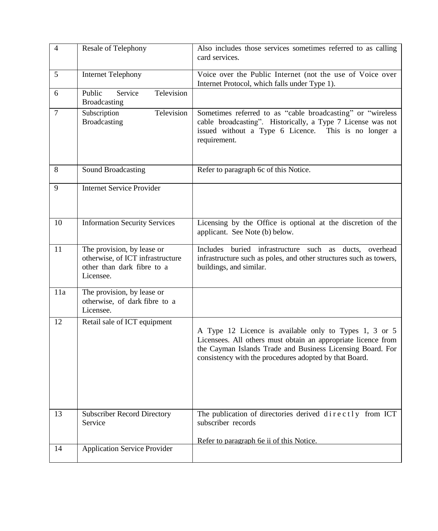| $\overline{4}$ | Resale of Telephony                                                                                       | Also includes those services sometimes referred to as calling<br>card services.                                                                                                                                                                 |
|----------------|-----------------------------------------------------------------------------------------------------------|-------------------------------------------------------------------------------------------------------------------------------------------------------------------------------------------------------------------------------------------------|
| 5              | <b>Internet Telephony</b>                                                                                 | Voice over the Public Internet (not the use of Voice over<br>Internet Protocol, which falls under Type 1).                                                                                                                                      |
| 6              | Television<br>Public<br>Service<br>Broadcasting                                                           |                                                                                                                                                                                                                                                 |
| 7              | Television<br>Subscription<br>Broadcasting                                                                | Sometimes referred to as "cable broadcasting" or "wireless<br>cable broadcasting". Historically, a Type 7 License was not<br>issued without a Type 6 Licence. This is no longer a<br>requirement.                                               |
| 8              | Sound Broadcasting                                                                                        | Refer to paragraph 6c of this Notice.                                                                                                                                                                                                           |
| 9              | <b>Internet Service Provider</b>                                                                          |                                                                                                                                                                                                                                                 |
| 10             | <b>Information Security Services</b>                                                                      | Licensing by the Office is optional at the discretion of the<br>applicant. See Note (b) below.                                                                                                                                                  |
| 11             | The provision, by lease or<br>otherwise, of ICT infrastructure<br>other than dark fibre to a<br>Licensee. | Includes buried infrastructure such as ducts, overhead<br>infrastructure such as poles, and other structures such as towers,<br>buildings, and similar.                                                                                         |
| 11a            | The provision, by lease or<br>otherwise, of dark fibre to a<br>Licensee.                                  |                                                                                                                                                                                                                                                 |
| 12             | Retail sale of ICT equipment                                                                              | A Type 12 Licence is available only to Types 1, 3 or 5<br>Licensees. All others must obtain an appropriate licence from<br>the Cayman Islands Trade and Business Licensing Board. For<br>consistency with the procedures adopted by that Board. |
| 13             | <b>Subscriber Record Directory</b><br>Service                                                             | The publication of directories derived directly from ICT<br>subscriber records                                                                                                                                                                  |
| 14             | <b>Application Service Provider</b>                                                                       | Refer to paragraph 6e ii of this Notice.                                                                                                                                                                                                        |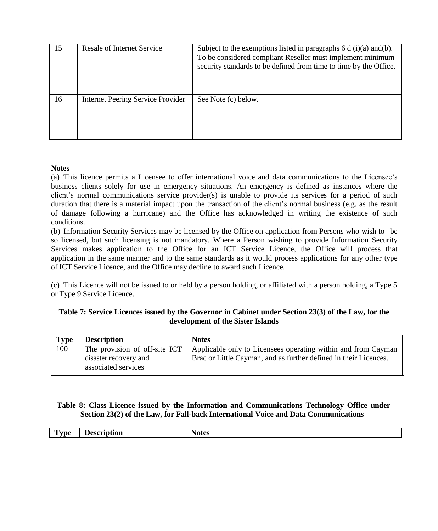| 15 | Resale of Internet Service        | Subject to the exemptions listed in paragraphs $6 d$ (i)(a) and(b).<br>To be considered compliant Reseller must implement minimum<br>security standards to be defined from time to time by the Office. |
|----|-----------------------------------|--------------------------------------------------------------------------------------------------------------------------------------------------------------------------------------------------------|
| 16 | Internet Peering Service Provider | See Note (c) below.                                                                                                                                                                                    |

#### **Notes**

(a) This licence permits a Licensee to offer international voice and data communications to the Licensee's business clients solely for use in emergency situations. An emergency is defined as instances where the client's normal communications service provider(s) is unable to provide its services for a period of such duration that there is a material impact upon the transaction of the client's normal business (e.g. as the result of damage following a hurricane) and the Office has acknowledged in writing the existence of such conditions.

(b) Information Security Services may be licensed by the Office on application from Persons who wish to be so licensed, but such licensing is not mandatory. Where a Person wishing to provide Information Security Services makes application to the Office for an ICT Service Licence, the Office will process that application in the same manner and to the same standards as it would process applications for any other type of ICT Service Licence, and the Office may decline to award such Licence.

(c) This Licence will not be issued to or held by a person holding, or affiliated with a person holding, a Type 5 or Type 9 Service Licence.

#### **Table 7: Service Licences issued by the Governor in Cabinet under Section 23(3) of the Law, for the development of the Sister Islands**

| Type | <b>Description</b>                                                            | <b>Notes</b>                                                                                                                      |
|------|-------------------------------------------------------------------------------|-----------------------------------------------------------------------------------------------------------------------------------|
| 100  | The provision of off-site ICT<br>disaster recovery and<br>associated services | Applicable only to Licensees operating within and from Cayman<br>Brac or Little Cayman, and as further defined in their Licences. |

## **Table 8: Class Licence issued by the Information and Communications Technology Office under Section 23(2) of the Law, for Fall-back International Voice and Data Communications**

| <b>CONTINUES</b><br>. vpe<br>. . | -----<br>. | Notes |
|----------------------------------|------------|-------|
|                                  |            |       |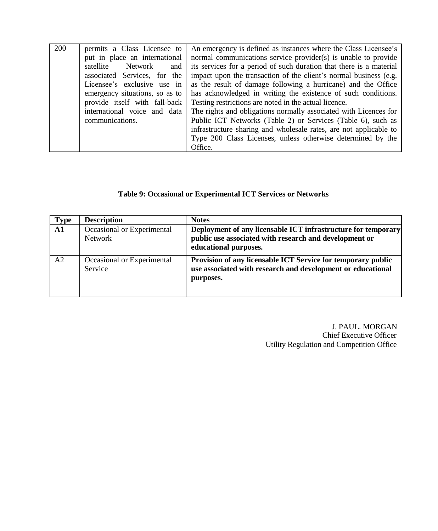| 200 | permits a Class Licensee to    | An emergency is defined as instances where the Class Licensee's     |
|-----|--------------------------------|---------------------------------------------------------------------|
|     | put in place an international  | normal communications service provider(s) is unable to provide      |
|     | satellite<br>Network<br>and    | its services for a period of such duration that there is a material |
|     | associated Services, for the   | impact upon the transaction of the client's normal business (e.g.   |
|     | Licensee's exclusive use in    | as the result of damage following a hurricane) and the Office       |
|     | emergency situations, so as to | has acknowledged in writing the existence of such conditions.       |
|     | provide itself with fall-back  | Testing restrictions are noted in the actual licence.               |
|     | international voice and data   | The rights and obligations normally associated with Licences for    |
|     | communications.                | Public ICT Networks (Table 2) or Services (Table 6), such as        |
|     |                                | infrastructure sharing and wholesale rates, are not applicable to   |
|     |                                | Type 200 Class Licenses, unless otherwise determined by the         |
|     |                                | Office.                                                             |

# **Table 9: Occasional or Experimental ICT Services or Networks**

| <b>Type</b>    | <b>Description</b>                    | <b>Notes</b>                                                                                                                                     |
|----------------|---------------------------------------|--------------------------------------------------------------------------------------------------------------------------------------------------|
| A1             | Occasional or Experimental<br>Network | Deployment of any licensable ICT infrastructure for temporary<br>public use associated with research and development or<br>educational purposes. |
| A <sub>2</sub> | Occasional or Experimental<br>Service | Provision of any licensable ICT Service for temporary public<br>use associated with research and development or educational<br>purposes.         |

J. PAUL. MORGAN Chief Executive Officer Utility Regulation and Competition Office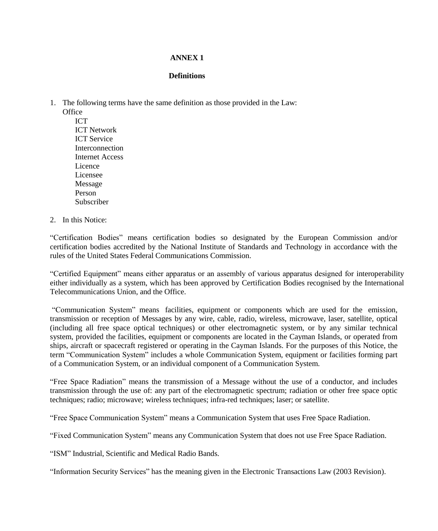## **ANNEX 1**

#### **Definitions**

1. The following terms have the same definition as those provided in the Law:

**Office** ICT ICT Network ICT Service Interconnection Internet Access **Licence** Licensee Message Person Subscriber

2. In this Notice:

"Certification Bodies" means certification bodies so designated by the European Commission and/or certification bodies accredited by the National Institute of Standards and Technology in accordance with the rules of the United States Federal Communications Commission.

"Certified Equipment" means either apparatus or an assembly of various apparatus designed for interoperability either individually as a system, which has been approved by Certification Bodies recognised by the International Telecommunications Union, and the Office.

"Communication System" means facilities, equipment or components which are used for the emission, transmission or reception of Messages by any wire, cable, radio, wireless, microwave, laser, satellite, optical (including all free space optical techniques) or other electromagnetic system, or by any similar technical system, provided the facilities, equipment or components are located in the Cayman Islands, or operated from ships, aircraft or spacecraft registered or operating in the Cayman Islands. For the purposes of this Notice, the term "Communication System" includes a whole Communication System, equipment or facilities forming part of a Communication System, or an individual component of a Communication System.

"Free Space Radiation" means the transmission of a Message without the use of a conductor, and includes transmission through the use of: any part of the electromagnetic spectrum; radiation or other free space optic techniques; radio; microwave; wireless techniques; infra-red techniques; laser; or satellite.

"Free Space Communication System" means a Communication System that uses Free Space Radiation.

"Fixed Communication System" means any Communication System that does not use Free Space Radiation.

"ISM" Industrial, Scientific and Medical Radio Bands.

"Information Security Services" has the meaning given in the Electronic Transactions Law (2003 Revision).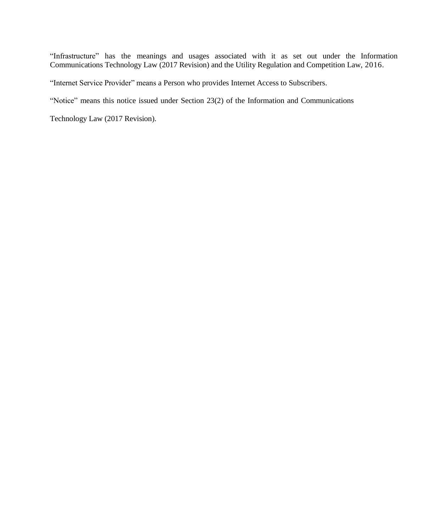"Infrastructure" has the meanings and usages associated with it as set out under the Information Communications Technology Law (2017 Revision) and the Utility Regulation and Competition Law, 2016.

"Internet Service Provider" means a Person who provides Internet Access to Subscribers.

"Notice" means this notice issued under Section 23(2) of the Information and Communications

Technology Law (2017 Revision).